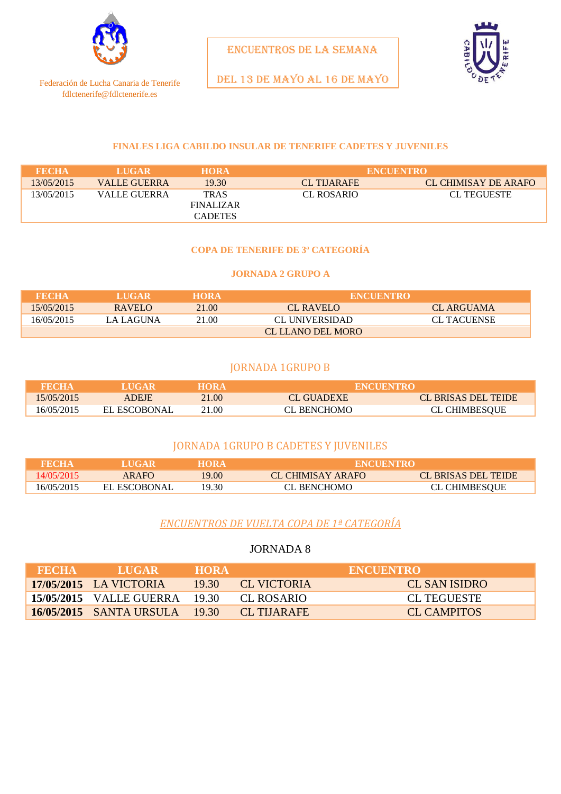

Federación de Lucha Canaria de Tenerife fdlctenerife@fdlctenerife.es

ENCUENTROS DE LA SEMANA

DEL 13 DE mayo AL 16 DE MAYO

#### **FINALES LIGA CABILDO INSULAR DE TENERIFE CADETES Y JUVENILES**

| <b>FECHA</b> | <b>LUGAR</b> | <b>HORA</b>    | <b>ENCUENTRO</b>  |                      |
|--------------|--------------|----------------|-------------------|----------------------|
| 13/05/2015   | VALLE GUERRA | 19.30          | <b>CL THARAFE</b> | CL CHIMISAY DE ARAFO |
| 13/05/2015   | VALLE GUERRA | <b>TRAS</b>    | CL ROSARIO        | <b>CL TEGUESTE</b>   |
|              |              | FINALIZAR      |                   |                      |
|              |              | <b>CADETES</b> |                   |                      |

#### **COPA DE TENERIFE DE 3ª CATEGORÍA**

#### **JORNADA 2 GRUPO A**

| <b>FECHA</b> | LUGAR.   | <b>HORA</b> | <b>ENCUENTRO</b>                     |            |
|--------------|----------|-------------|--------------------------------------|------------|
| 15/05/2015   | RAVELO   | 21.00       | CL RAVELO                            | CL ARGUAMA |
| 16/05/2015   | A LAGUNA | 21.00       | <b>CL TACUENSE</b><br>CL UNIVERSIDAD |            |
|              |          |             | CL LLANO DEL MORO                    |            |

#### JORNADA 1GRUPO B

| FECHA      | LUGAR        | HORA  | <b>ENCUENTRO</b> |                      |  |
|------------|--------------|-------|------------------|----------------------|--|
| 15/05/2015 | <b>ADEJE</b> | 21.00 | CL GUADEXE       | CL BRISAS DEL TEIDE  |  |
| 16/05/2015 | EL ESCOBONAL | 21.00 | CL BENCHOMO      | <b>CL CHIMBESOUE</b> |  |

## JORNADA 1GRUPO B CADETES Y JUVENILES

| <b>FECHA</b> | <b>ALUGAR</b> | <b>HORA</b> | <b>ENCUENTRO</b>  |                     |  |
|--------------|---------------|-------------|-------------------|---------------------|--|
| 14/05/2015   | <b>ARAFO</b>  | 19.00       | CL CHIMISAY ARAFO | CL BRISAS DEL TEIDE |  |
| 16/05/2015   | EL ESCOBONAL  | 19.30       | CL BENCHOMO       | CL CHIMBESOUE       |  |

## *ENCUENTROS DE VUELTA COPA DE 1ª CATEGORÍA*

#### JORNADA 8

| <b>RECHA</b> | <b>LUGAR</b>                  | 'HORA 2 | <b>ENCUENTRO</b>   |               |
|--------------|-------------------------------|---------|--------------------|---------------|
|              | 17/05/2015 LA VICTORIA        | 19.30   | <b>CL VICTORIA</b> | CL SAN ISIDRO |
|              | 15/05/2015 VALLE GUERRA 19.30 |         | CL ROSARIO         | CL TEGUESTE   |
|              | 16/05/2015 SANTA URSULA 19.30 |         | CL THARAFE         | CL CAMPITOS   |